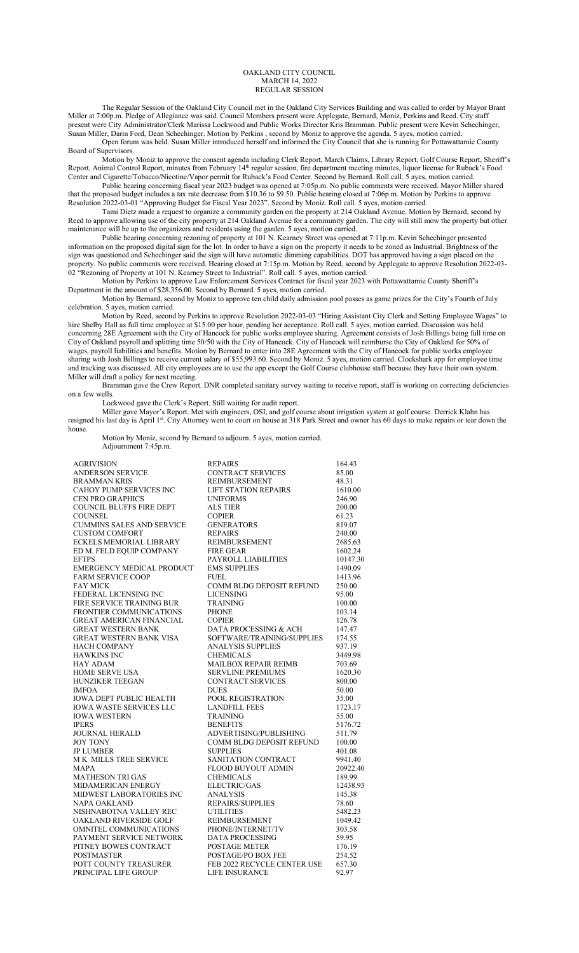## OAKLAND CITY COUNCIL MARCH 14, 2022 REGULAR SESSION

The Regular Session of the Oakland City Council met in the Oakland City Services Building and was called to order by Mayor Brant Miller at 7:00p.m. Pledge of Allegiance was said. Council Members present were Applegate, Bernard, Moniz, Perkins and Reed. City staff present were City Administrator/Clerk Marissa Lockwood and Public Works Director Kris Bramman. Public present were Kevin Schechinger, Susan Miller, Darin Ford, Dean Schechinger. Motion by Perkins , second by Moniz to approve the agenda. 5 ayes, motion carried. Open forum was held. Susan Miller introduced herself and informed the City Council that she is running for Pottawattamie County

Board of Supervisors. Motion by Moniz to approve the consent agenda including Clerk Report, March Claims, Library Report, Golf Course Report, Sheriff's Report, Animal Control Report, minutes from February 14<sup>th</sup> regular session, fire department meeting minutes, liquor license for Ruback's Food Center and Cigarette/Tobacco/Nicotine/Vapor permit for Ruback's Food Center. Second by Bernard. Roll call. 5 ayes, motion carried.

Public hearing concerning fiscal year 2023 budget was opened at 7:05p.m. No public comments were received. Mayor Miller shared that the proposed budget includes a tax rate decrease from \$10.36 to \$9.50. Public hearing closed at 7:06p.m. Motion by Perkins to approve Resolution 2022-03-01 "Approving Budget for Fiscal Year 2023". Second by Moniz. Roll call. 5 ayes, motion carried.

Tami Dietz made a request to organize a community garden on the property at 214 Oakland Avenue. Motion by Bernard, second by Reed to approve allowing use of the city property at 214 Oakland Avenue for a community garden. The city will still mow the property but other maintenance will be up to the organizers and residents using the garden. 5 ayes, motion carried.

Public hearing concerning rezoning of property at 101 N. Kearney Street was opened at 7:11p.m. Kevin Schechinger presented information on the proposed digital sign for the lot. In order to have a sign on the property it needs to be zoned as Industrial. Brightness of the sign was questioned and Schechinger said the sign will have automatic dimming capabilities. DOT has approved having a sign placed on the property. No public comments were received. Hearing closed at 7:15p.m. Motion by Reed, second by Applegate to approve Resolution 2022-03- 02 "Rezoning of Property at 101 N. Kearney Street to Industrial". Roll call. 5 ayes, motion carried.

Motion by Perkins to approve Law Enforcement Services Contract for fiscal year 2023 with Pottawattamie County Sheriff's Department in the amount of \$28,356.00. Second by Bernard. 5 ayes, motion carried.

Motion by Bernard, second by Moniz to approve ten child daily admission pool passes as game prizes for the City's Fourth of July celebration. 5 ayes, motion carried.

Motion by Reed, second by Perkins to approve Resolution 2022-03-03 "Hiring Assistant City Clerk and Setting Employee Wages" to hire Shelby Hall as full time employee at \$15.00 per hour, pending her acceptance. Roll call. 5 ayes, motion carried. Discussion was held concerning 28E Agreement with the City of Hancock for public works employee sharing. Agreement consists of Josh Billings being full time on City of Oakland payroll and splitting time 50/50 with the City of Hancock. City of Hancock will reimburse the City of Oakland for 50% of wages, payroll liabilities and benefits. Motion by Bernard to enter into 28E Agreement with the City of Hancock for public works employee sharing with Josh Billings to receive current salary of \$55,993.60. Second by Moniz. 5 ayes, motion carried. Clockshark app for employee time and tracking was discussed. All city employees are to use the app except the Golf Course clubhouse staff because they have their own system. Miller will draft a policy for next meeting.

Bramman gave the Crew Report. DNR completed sanitary survey waiting to receive report, staff is working on correcting deficiencies on a few wells.

Lockwood gave the Clerk's Report. Still waiting for audit report.

Miller gave Mayor's Report. Met with engineers, OSI, and golf course about irrigation system at golf course. Derrick Klahn has resigned his last day is April 1st. City Attorney went to court on house at 318 Park Street and owner has 60 days to make repairs or tear down the house.

Motion by Moniz, second by Bernard to adjourn. 5 ayes, motion carried. Adjournment 7:45p.m.

| AGRIVISION                                    | <b>REPAIRS</b>                                | 164.43             |
|-----------------------------------------------|-----------------------------------------------|--------------------|
| <b>ANDERSON SERVICE</b>                       | <b>CONTRACT SERVICES</b>                      | 85.00              |
| BRAMMAN KRIS                                  | <b>REIMBURSEMENT</b>                          | 48.31              |
| CAHOY PUMP SERVICES INC                       | <b>LIFT STATION REPAIRS</b>                   | 1610.00            |
| <b>CEN PRO GRAPHICS</b>                       | <b>UNIFORMS</b>                               | 246.90             |
| COUNCIL BLUFFS FIRE DEPT                      | <b>ALS TIER</b>                               | 200.00             |
| COUNSEL                                       | <b>COPIER</b>                                 | 61.23              |
| <b>CUMMINS SALES AND SERVICE</b>              | <b>GENERATORS</b>                             | 819.07             |
| <b>CUSTOM COMFORT</b>                         | <b>REPAIRS</b>                                | 240.00             |
| ECKELS MEMORIAL LIBRARY                       | REIMBURSEMENT                                 | 2685.63            |
| ED M. FELD EQUIP COMPANY                      | <b>FIRE GEAR</b>                              | 1602.24            |
| <b>EFTPS</b>                                  | PAYROLL LIABILITIES                           | 10147.30           |
| EMERGENCY MEDICAL PRODUCT                     | <b>EMS SUPPLIES</b>                           | 1490.09            |
| <b>FARM SERVICE COOP</b>                      | FUEL.                                         | 1413.96            |
| FAY MICK                                      | COMM BLDG DEPOSIT REFUND                      | 250.00             |
| FEDERAL LICENSING INC                         | <b>LICENSING</b>                              | 95.00              |
| FIRE SERVICE TRAINING BUR                     | <b>TRAINING</b>                               | 100.00             |
| FRONTIER COMMUNICATIONS                       | <b>PHONE</b>                                  | 103.14             |
| <b>GREAT AMERICAN FINANCIAL</b>               | <b>COPIER</b>                                 | 126.78             |
| GREAT WESTERN BANK                            | DATA PROCESSING & ACH                         | 147.47             |
| <b>GREAT WESTERN BANK VISA</b>                | SOFTWARE/TRAINING/SUPPLIES                    | 174.55             |
| HACH COMPANY                                  | <b>ANALYSIS SUPPLIES</b>                      | 937.19             |
| HAWKINS INC                                   | <b>CHEMICALS</b>                              | 3449.98            |
| HAY ADAM                                      | <b>MAILBOX REPAIR REIMB</b>                   | 703.69             |
| <b>HOME SERVE USA</b>                         | <b>SERVLINE PREMIUMS</b>                      | 1620.30            |
| HUNZIKER TEEGAN                               | <b>CONTRACT SERVICES</b>                      | 800.00             |
| IMFOA                                         | <b>DUES</b>                                   | 50.00              |
| <b>IOWA DEPT PUBLIC HEALTH</b>                | POOL REGISTRATION                             | 35.00              |
| IOWA WASTE SERVICES LLC                       | <b>LANDFILL FEES</b>                          | 1723.17            |
| IOWA WESTERN                                  | <b>TRAINING</b>                               | 55.00              |
| IPERS                                         | <b>BENEFITS</b>                               | 5176.72            |
| JOURNAL HERALD                                | ADVERTISING/PUBLISHING                        | 511.79             |
| <b>JOY TONY</b>                               | COMM BLDG DEPOSIT REFUND                      | 100.00             |
| <b>JP LUMBER</b>                              | <b>SUPPLIES</b>                               | 401.08             |
| M K MILLS TREE SERVICE                        | SANITATION CONTRACT                           | 9941.40            |
| MAPA                                          | FLOOD BUYOUT ADMIN                            | 20922.40           |
| MATHESON TRI GAS                              | <b>CHEMICALS</b>                              | 189.99             |
| MIDAMERICAN ENERGY                            | ELECTRIC/GAS                                  | 12438.93           |
| MIDWEST LABORATORIES INC                      | <b>ANALYSIS</b>                               | 145.38             |
| NAPA OAKLAND<br>NISHNABOTNA VALLEY REC        | <b>REPAIRS/SUPPLIES</b>                       | 78.60              |
| OAKLAND RIVERSIDE GOLF                        | <b>UTILITIES</b><br><b>REIMBURSEMENT</b>      | 5482.23<br>1049.42 |
|                                               |                                               |                    |
| OMNITEL COMMUNICATIONS                        | PHONE/INTERNET/TV                             | 303.58             |
| PAYMENT SERVICE NETWORK                       | <b>DATA PROCESSING</b>                        | 59.95              |
| PITNEY BOWES CONTRACT                         | <b>POSTAGE METER</b>                          | 176.19             |
| POSTMASTER                                    | POSTAGE/PO BOX FEE                            | 254.52             |
| POTT COUNTY TREASURER<br>PRINCIPAL LIFE GROUP | FEB 2022 RECYCLE CENTER USE<br>LIFE INSURANCE | 657.30<br>92.97    |
|                                               |                                               |                    |